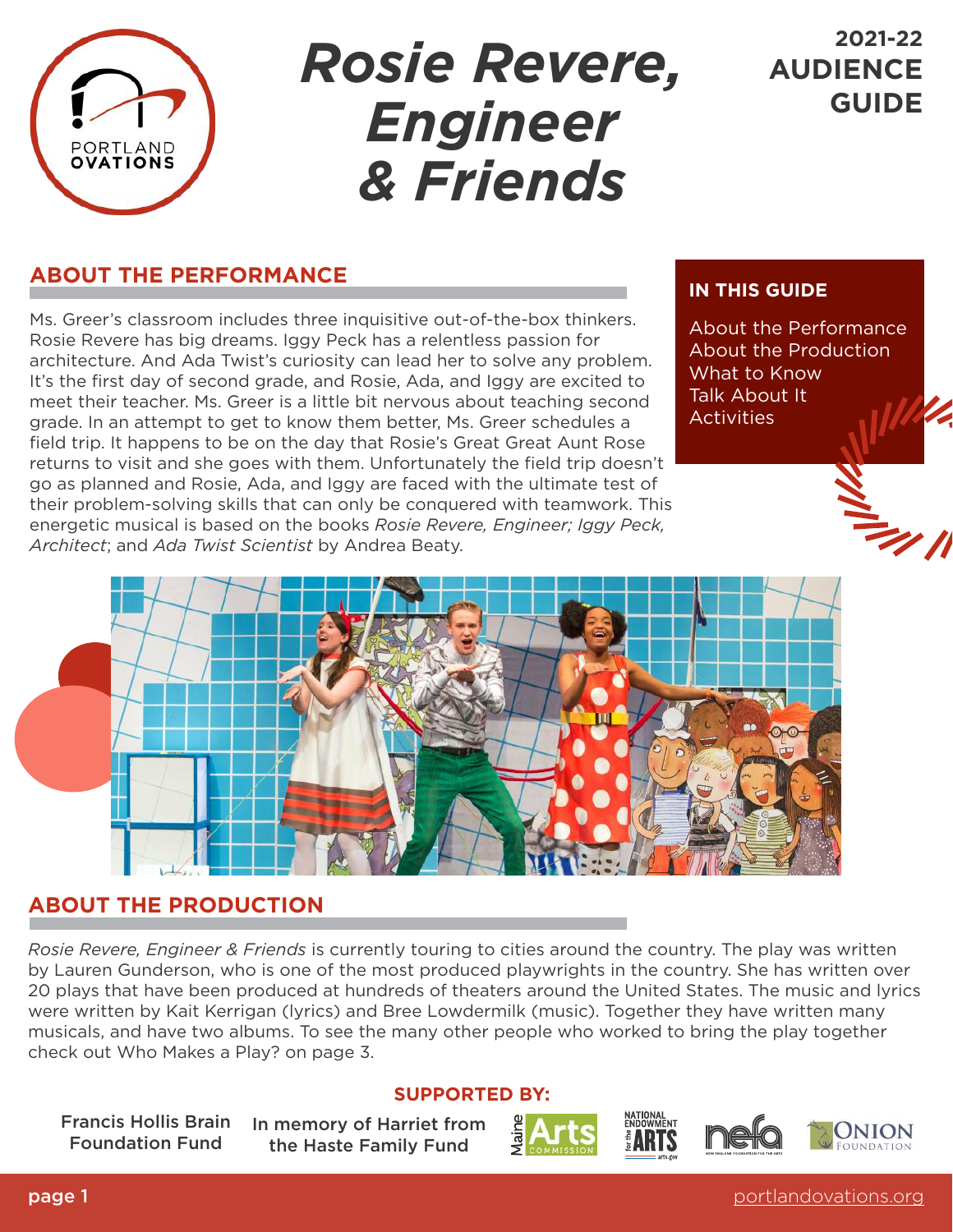

## *Rosie Revere, Engineer & Friends*

## **2021-22 AUDIENCE GUIDE**

## **ABOUT THE PERFORMANCE**

Ms. Greer's classroom includes three inquisitive out-of-the-box thinkers. Rosie Revere has big dreams. Iggy Peck has a relentless passion for architecture. And Ada Twist's curiosity can lead her to solve any problem. It's the first day of second grade, and Rosie, Ada, and Iggy are excited to meet their teacher. Ms. Greer is a little bit nervous about teaching second grade. In an attempt to get to know them better, Ms. Greer schedules a field trip. It happens to be on the day that Rosie's Great Great Aunt Rose returns to visit and she goes with them. Unfortunately the field trip doesn't go as planned and Rosie, Ada, and Iggy are faced with the ultimate test of their problem-solving skills that can only be conquered with teamwork. This energetic musical is based on the books *Rosie Revere, Engineer; Iggy Peck, Architect*; and *Ada Twist Scientist* by Andrea Beaty.

## **IN THIS GUIDE**

About the Performance About the Production What to Know Talk About It **Activities** 



## **ABOUT THE PRODUCTION**

*Rosie Revere, Engineer & Friends* is currently touring to cities around the country. The play was written by Lauren Gunderson, who is one of the most produced playwrights in the country. She has written over 20 plays that have been produced at hundreds of theaters around the United States. The music and lyrics were written by Kait Kerrigan (lyrics) and Bree Lowdermilk (music). Together they have written many musicals, and have two albums. To see the many other people who worked to bring the play together check out Who Makes a Play? on page 3.

### **SUPPORTED BY:**

Francis Hollis Brain Foundation Fund

In memory of Harriet from the Haste Family Fund







**page 1** [portlandovations.org](http://www.portlandovations.org)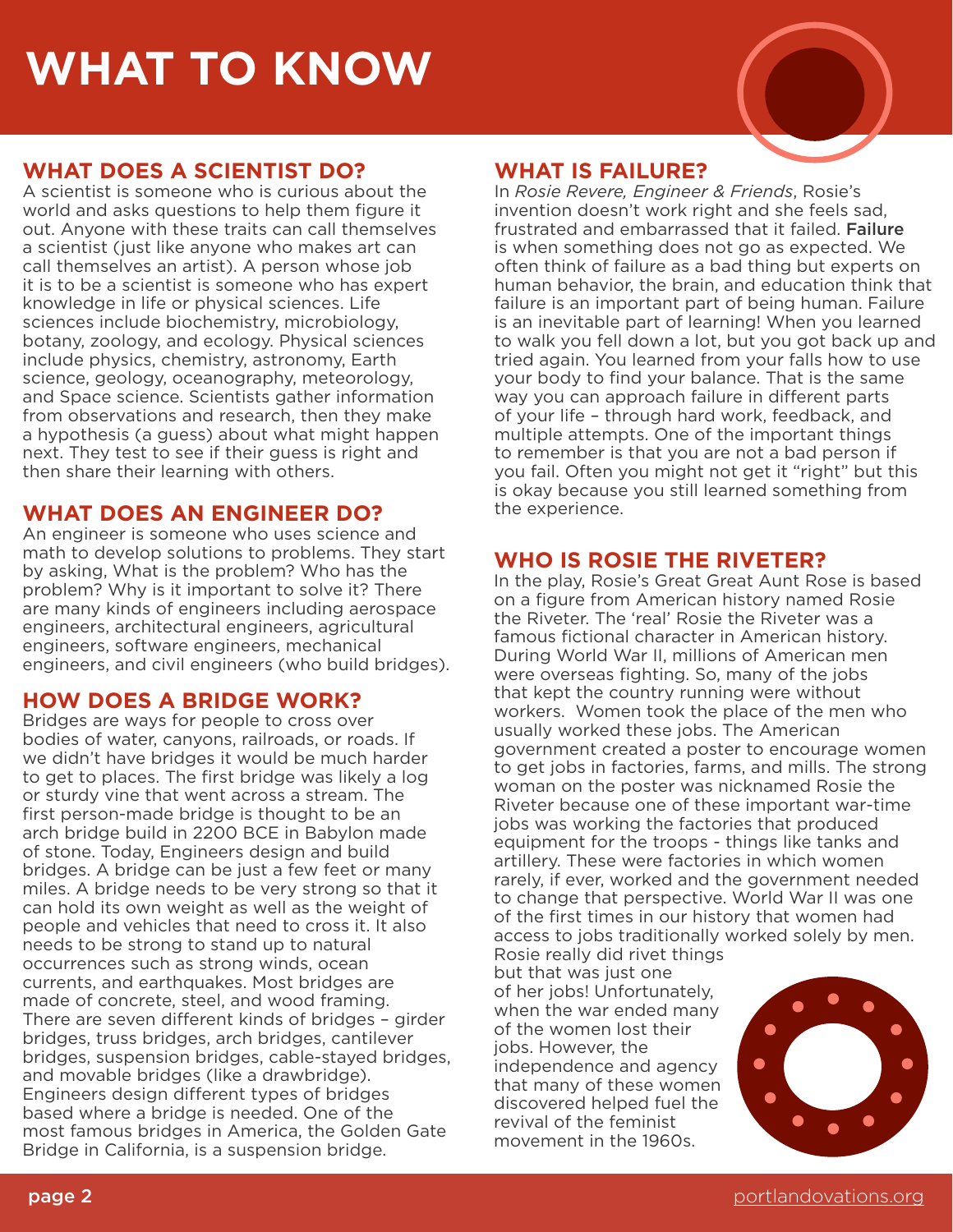## **WHAT TO KNOW**

## **WHAT DOES A SCIENTIST DO?**

A scientist is someone who is curious about the world and asks questions to help them figure it out. Anyone with these traits can call themselves a scientist (just like anyone who makes art can call themselves an artist). A person whose job it is to be a scientist is someone who has expert knowledge in life or physical sciences. Life sciences include biochemistry, microbiology, botany, zoology, and ecology. Physical sciences include physics, chemistry, astronomy, Earth science, geology, oceanography, meteorology, and Space science. Scientists gather information from observations and research, then they make a hypothesis (a guess) about what might happen next. They test to see if their guess is right and then share their learning with others.

## **WHAT DOES AN ENGINEER DO?**

An engineer is someone who uses science and math to develop solutions to problems. They start by asking, What is the problem? Who has the problem? Why is it important to solve it? There are many kinds of engineers including aerospace engineers, architectural engineers, agricultural engineers, software engineers, mechanical engineers, and civil engineers (who build bridges).

## **HOW DOES A BRIDGE WORK?**

Bridges are ways for people to cross over bodies of water, canyons, railroads, or roads. If we didn't have bridges it would be much harder to get to places. The first bridge was likely a log or sturdy vine that went across a stream. The first person-made bridge is thought to be an arch bridge build in 2200 BCE in Babylon made of stone. Today, Engineers design and build bridges. A bridge can be just a few feet or many miles. A bridge needs to be very strong so that it can hold its own weight as well as the weight of people and vehicles that need to cross it. It also needs to be strong to stand up to natural occurrences such as strong winds, ocean currents, and earthquakes. Most bridges are made of concrete, steel, and wood framing. There are seven different kinds of bridges – girder bridges, truss bridges, arch bridges, cantilever bridges, suspension bridges, cable-stayed bridges, and movable bridges (like a drawbridge). Engineers design different types of bridges based where a bridge is needed. One of the most famous bridges in America, the Golden Gate Bridge in California, is a suspension bridge.

## **WHAT IS FAILURE?**

In *Rosie Revere, Engineer & Friends*, Rosie's invention doesn't work right and she feels sad, frustrated and embarrassed that it failed. Failure is when something does not go as expected. We often think of failure as a bad thing but experts on human behavior, the brain, and education think that failure is an important part of being human. Failure is an inevitable part of learning! When you learned to walk you fell down a lot, but you got back up and tried again. You learned from your falls how to use your body to find your balance. That is the same way you can approach failure in different parts of your life – through hard work, feedback, and multiple attempts. One of the important things to remember is that you are not a bad person if you fail. Often you might not get it "right" but this is okay because you still learned something from the experience.

## **WHO IS ROSIE THE RIVETER?**

In the play, Rosie's Great Great Aunt Rose is based on a figure from American history named Rosie the Riveter. The 'real' Rosie the Riveter was a famous fictional character in American history. During World War II, millions of American men were overseas fighting. So, many of the jobs that kept the country running were without workers. Women took the place of the men who usually worked these jobs. The American government created a poster to encourage women to get jobs in factories, farms, and mills. The strong woman on the poster was nicknamed Rosie the Riveter because one of these important war-time jobs was working the factories that produced equipment for the troops - things like tanks and artillery. These were factories in which women rarely, if ever, worked and the government needed to change that perspective. World War II was one of the first times in our history that women had access to jobs traditionally worked solely by men. Rosie really did rivet things

but that was just one of her jobs! Unfortunately, when the war ended many of the women lost their jobs. However, the independence and agency that many of these women discovered helped fuel the revival of the feminist movement in the 1960s.

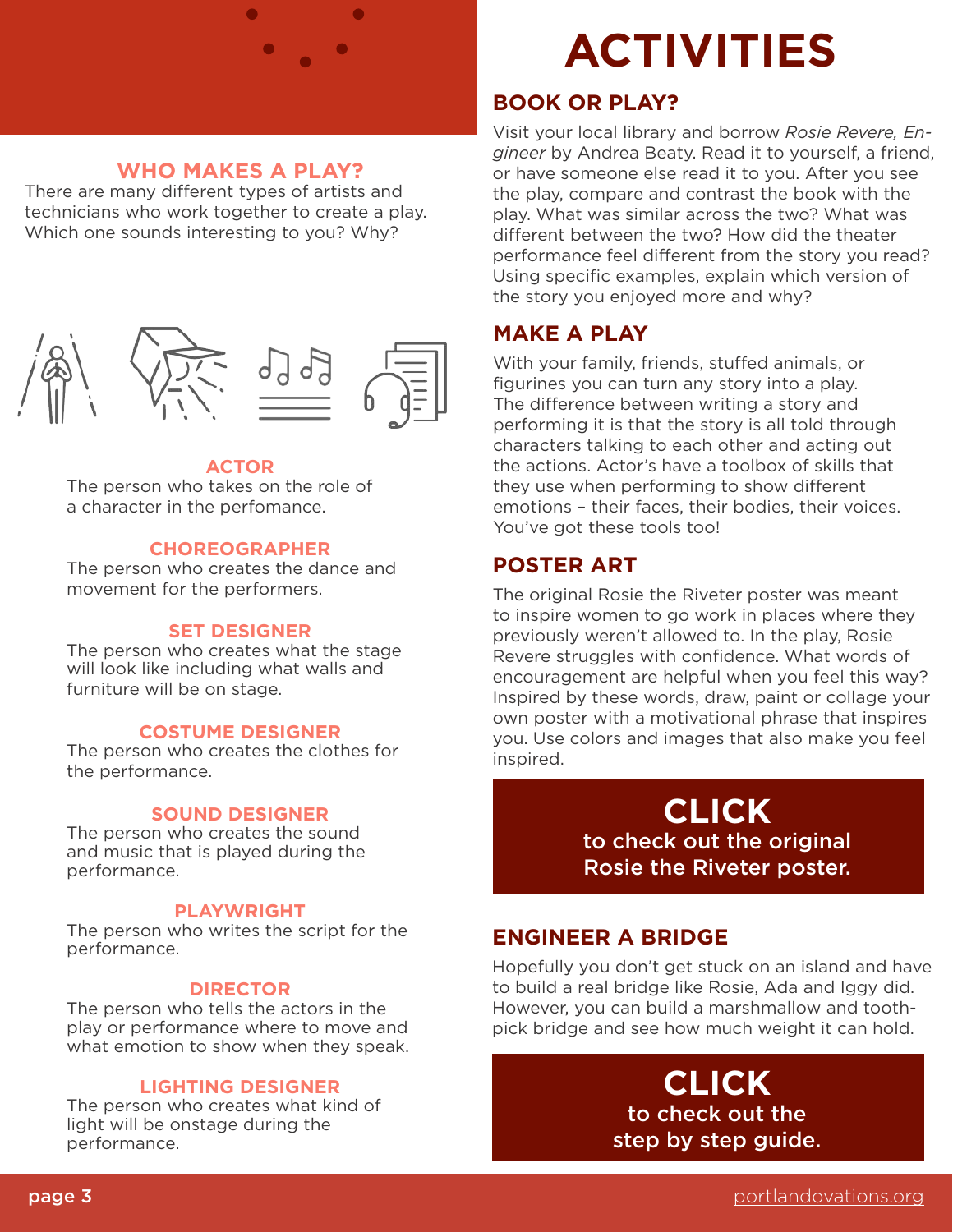### **WHO MAKES A PLAY?**

There are many different types of artists and technicians who work together to create a play. Which one sounds interesting to you? Why?



#### **ACTOR**

The person who takes on the role of a character in the perfomance.

#### **CHOREOGRAPHER**

The person who creates the dance and movement for the performers.

#### **SET DESIGNER**

The person who creates what the stage will look like including what walls and furniture will be on stage.

#### **COSTUME DESIGNER**

The person who creates the clothes for the performance.

#### **SOUND DESIGNER**

The person who creates the sound and music that is played during the performance.

#### **PLAYWRIGHT**

The person who writes the script for the performance.

#### **DIRECTOR**

The person who tells the actors in the play or performance where to move and what emotion to show when they speak.

#### **LIGHTING DESIGNER**

The person who creates what kind of light will be onstage during the performance.

# **WHAT TO KNOW ACTIVITIES**

## **BOOK OR PLAY?**

Visit your local library and borrow *Rosie Revere, Engineer* by Andrea Beaty. Read it to yourself, a friend, or have someone else read it to you. After you see the play, compare and contrast the book with the play. What was similar across the two? What was different between the two? How did the theater performance feel different from the story you read? Using specific examples, explain which version of the story you enjoyed more and why?

### **MAKE A PLAY**

With your family, friends, stuffed animals, or figurines you can turn any story into a play. The difference between writing a story and performing it is that the story is all told through characters talking to each other and acting out the actions. Actor's have a toolbox of skills that they use when performing to show different emotions – their faces, their bodies, their voices. You've got these tools too!

#### **POSTER ART**

The original Rosie the Riveter poster was meant to inspire women to go work in places where they previously weren't allowed to. In the play, Rosie Revere struggles with confidence. What words of encouragement are helpful when you feel this way? Inspired by these words, draw, paint or collage your own poster with a motivational phrase that inspires you. Use colors and images that also make you feel inspired.

> **CLICK** [to check out the original](https://americanhistory.si.edu/collections/search/object/nmah_538122)  Rosie the Riveter poster.

## **ENGINEER A BRIDGE**

Hopefully you don't get stuck on an island and have to build a real bridge like Rosie, Ada and Iggy did. However, you can build a marshmallow and toothpick bridge and see how much weight it can hold.

## **CLICK** to check out the [step by step guide.](https://portlandovations.org/wp-content/uploads/2022/02/Rosie-Revere-Engineer-and-Friends_Create-a-Bridge_fy22_V1.pdf)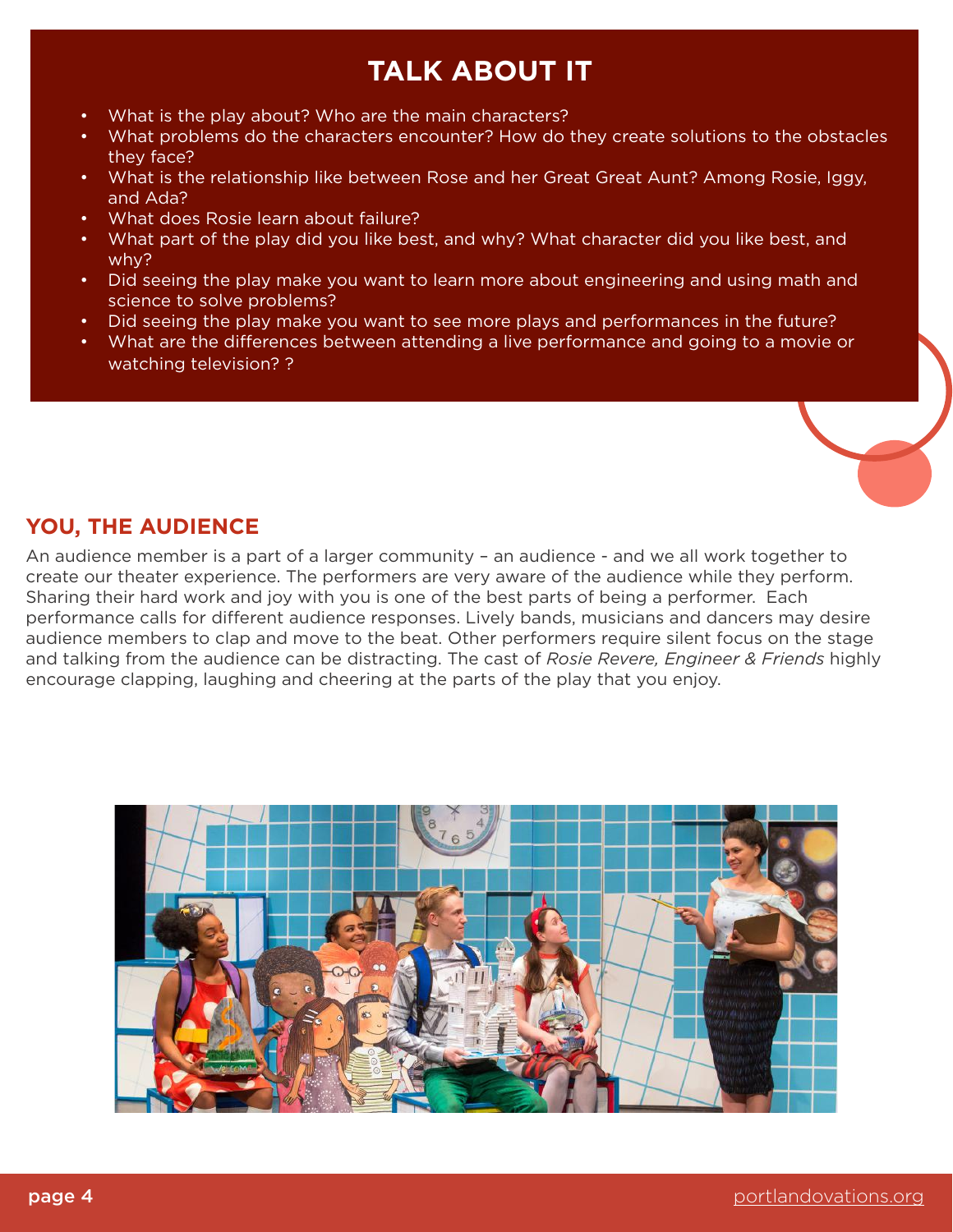## **TALK ABOUT IT**

- What is the play about? Who are the main characters?
- What problems do the characters encounter? How do they create solutions to the obstacles they face?
- What is the relationship like between Rose and her Great Great Aunt? Among Rosie, Iggy, and Ada?
- What does Rosie learn about failure?
- What part of the play did you like best, and why? What character did you like best, and why?
- Did seeing the play make you want to learn more about engineering and using math and science to solve problems?
- Did seeing the play make you want to see more plays and performances in the future?
- What are the differences between attending a live performance and going to a movie or watching television? ?

## **YOU, THE AUDIENCE**

An audience member is a part of a larger community – an audience - and we all work together to create our theater experience. The performers are very aware of the audience while they perform. Sharing their hard work and joy with you is one of the best parts of being a performer. Each performance calls for different audience responses. Lively bands, musicians and dancers may desire audience members to clap and move to the beat. Other performers require silent focus on the stage and talking from the audience can be distracting. The cast of *Rosie Revere, Engineer & Friends* highly encourage clapping, laughing and cheering at the parts of the play that you enjoy.